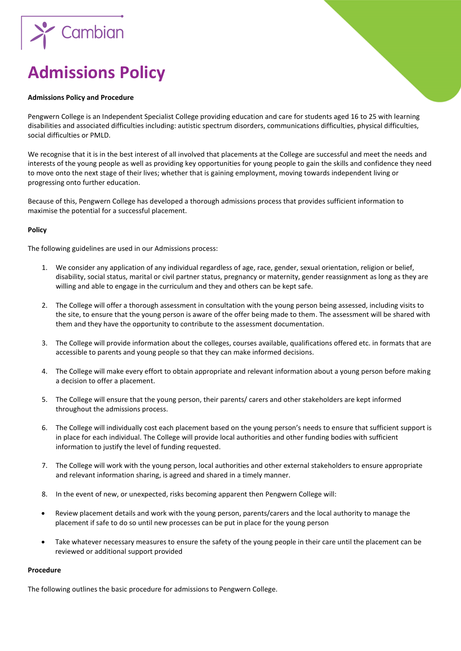

# **Admissions Policy**

### **Admissions Policy and Procedure**

Pengwern College is an Independent Specialist College providing education and care for students aged 16 to 25 with learning disabilities and associated difficulties including: autistic spectrum disorders, communications difficulties, physical difficulties, social difficulties or PMLD.

We recognise that it is in the best interest of all involved that placements at the College are successful and meet the needs and interests of the young people as well as providing key opportunities for young people to gain the skills and confidence they need to move onto the next stage of their lives; whether that is gaining employment, moving towards independent living or progressing onto further education.

Because of this, Pengwern College has developed a thorough admissions process that provides sufficient information to maximise the potential for a successful placement.

## **Policy**

The following guidelines are used in our Admissions process:

- 1. We consider any application of any individual regardless of age, race, gender, sexual orientation, religion or belief, disability, social status, marital or civil partner status, pregnancy or maternity, gender reassignment as long as they are willing and able to engage in the curriculum and they and others can be kept safe.
- 2. The College will offer a thorough assessment in consultation with the young person being assessed, including visits to the site, to ensure that the young person is aware of the offer being made to them. The assessment will be shared with them and they have the opportunity to contribute to the assessment documentation.
- 3. The College will provide information about the colleges, courses available, qualifications offered etc. in formats that are accessible to parents and young people so that they can make informed decisions.
- 4. The College will make every effort to obtain appropriate and relevant information about a young person before making a decision to offer a placement.
- 5. The College will ensure that the young person, their parents/ carers and other stakeholders are kept informed throughout the admissions process.
- 6. The College will individually cost each placement based on the young person's needs to ensure that sufficient support is in place for each individual. The College will provide local authorities and other funding bodies with sufficient information to justify the level of funding requested.
- 7. The College will work with the young person, local authorities and other external stakeholders to ensure appropriate and relevant information sharing, is agreed and shared in a timely manner.
- 8. In the event of new, or unexpected, risks becoming apparent then Pengwern College will:
- Review placement details and work with the young person, parents/carers and the local authority to manage the placement if safe to do so until new processes can be put in place for the young person
- Take whatever necessary measures to ensure the safety of the young people in their care until the placement can be reviewed or additional support provided

## **Procedure**

The following outlines the basic procedure for admissions to Pengwern College.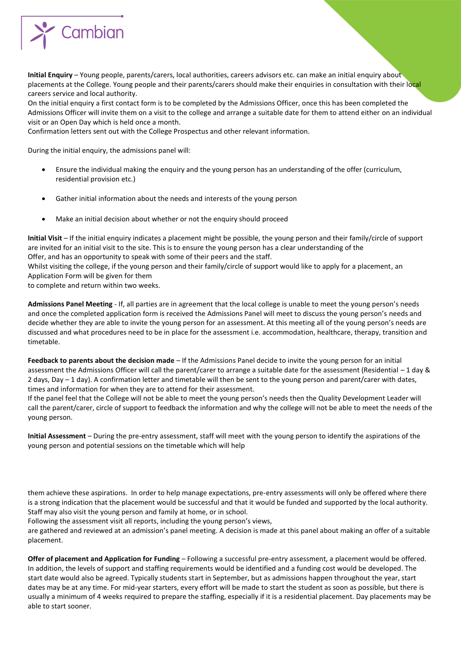

**Initial Enquiry** – Young people, parents/carers, local authorities, careers advisors etc. can make an initial enquiry about placements at the College. Young people and their parents/carers should make their enquiries in consultation with their local careers service and local authority.

On the initial enquiry a first contact form is to be completed by the Admissions Officer, once this has been completed the Admissions Officer will invite them on a visit to the college and arrange a suitable date for them to attend either on an individual visit or an Open Day which is held once a month.

Confirmation letters sent out with the College Prospectus and other relevant information.

During the initial enquiry, the admissions panel will:

- Ensure the individual making the enquiry and the young person has an understanding of the offer (curriculum, residential provision etc.)
- Gather initial information about the needs and interests of the young person
- Make an initial decision about whether or not the enquiry should proceed

**Initial Visit** – If the initial enquiry indicates a placement might be possible, the young person and their family/circle of support are invited for an initial visit to the site. This is to ensure the young person has a clear understanding of the Offer, and has an opportunity to speak with some of their peers and the staff.

Whilst visiting the college, if the young person and their family/circle of support would like to apply for a placement, an Application Form will be given for them

to complete and return within two weeks.

**Admissions Panel Meeting** - If, all parties are in agreement that the local college is unable to meet the young person's needs and once the completed application form is received the Admissions Panel will meet to discuss the young person's needs and decide whether they are able to invite the young person for an assessment. At this meeting all of the young person's needs are discussed and what procedures need to be in place for the assessment i.e. accommodation, healthcare, therapy, transition and timetable.

**Feedback to parents about the decision made** – If the Admissions Panel decide to invite the young person for an initial assessment the Admissions Officer will call the parent/carer to arrange a suitable date for the assessment (Residential – 1 day & 2 days, Day – 1 day). A confirmation letter and timetable will then be sent to the young person and parent/carer with dates, times and information for when they are to attend for their assessment.

If the panel feel that the College will not be able to meet the young person's needs then the Quality Development Leader will call the parent/carer, circle of support to feedback the information and why the college will not be able to meet the needs of the young person.

**Initial Assessment** – During the pre-entry assessment, staff will meet with the young person to identify the aspirations of the young person and potential sessions on the timetable which will help

them achieve these aspirations. In order to help manage expectations, pre-entry assessments will only be offered where there is a strong indication that the placement would be successful and that it would be funded and supported by the local authority. Staff may also visit the young person and family at home, or in school.

Following the assessment visit all reports, including the young person's views,

are gathered and reviewed at an admission's panel meeting. A decision is made at this panel about making an offer of a suitable placement.

**Offer of placement and Application for Funding** – Following a successful pre-entry assessment, a placement would be offered. In addition, the levels of support and staffing requirements would be identified and a funding cost would be developed. The start date would also be agreed. Typically students start in September, but as admissions happen throughout the year, start dates may be at any time. For mid-year starters, every effort will be made to start the student as soon as possible, but there is usually a minimum of 4 weeks required to prepare the staffing, especially if it is a residential placement. Day placements may be able to start sooner.